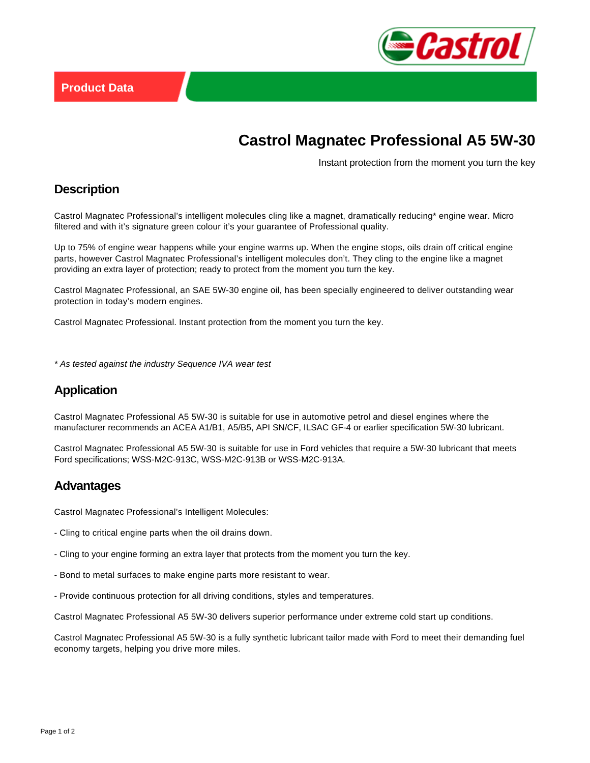

# **Castrol Magnatec Professional A5 5W-30**

Instant protection from the moment you turn the key

#### **Description**

Castrol Magnatec Professional's intelligent molecules cling like a magnet, dramatically reducing\* engine wear. Micro filtered and with it's signature green colour it's your guarantee of Professional quality.

Up to 75% of engine wear happens while your engine warms up. When the engine stops, oils drain off critical engine parts, however Castrol Magnatec Professional's intelligent molecules don't. They cling to the engine like a magnet providing an extra layer of protection; ready to protect from the moment you turn the key.

Castrol Magnatec Professional, an SAE 5W-30 engine oil, has been specially engineered to deliver outstanding wear protection in today's modern engines.

Castrol Magnatec Professional. Instant protection from the moment you turn the key.

\* As tested against the industry Sequence IVA wear test

#### **Application**

Castrol Magnatec Professional A5 5W-30 is suitable for use in automotive petrol and diesel engines where the manufacturer recommends an ACEA A1/B1, A5/B5, API SN/CF, ILSAC GF-4 or earlier specification 5W-30 lubricant.

Castrol Magnatec Professional A5 5W-30 is suitable for use in Ford vehicles that require a 5W-30 lubricant that meets Ford specifications; WSS-M2C-913C, WSS-M2C-913B or WSS-M2C-913A.

#### **Advantages**

Castrol Magnatec Professional's Intelligent Molecules:

- Cling to critical engine parts when the oil drains down.
- Cling to your engine forming an extra layer that protects from the moment you turn the key.
- Bond to metal surfaces to make engine parts more resistant to wear.
- Provide continuous protection for all driving conditions, styles and temperatures.

Castrol Magnatec Professional A5 5W-30 delivers superior performance under extreme cold start up conditions.

Castrol Magnatec Professional A5 5W-30 is a fully synthetic lubricant tailor made with Ford to meet their demanding fuel economy targets, helping you drive more miles.